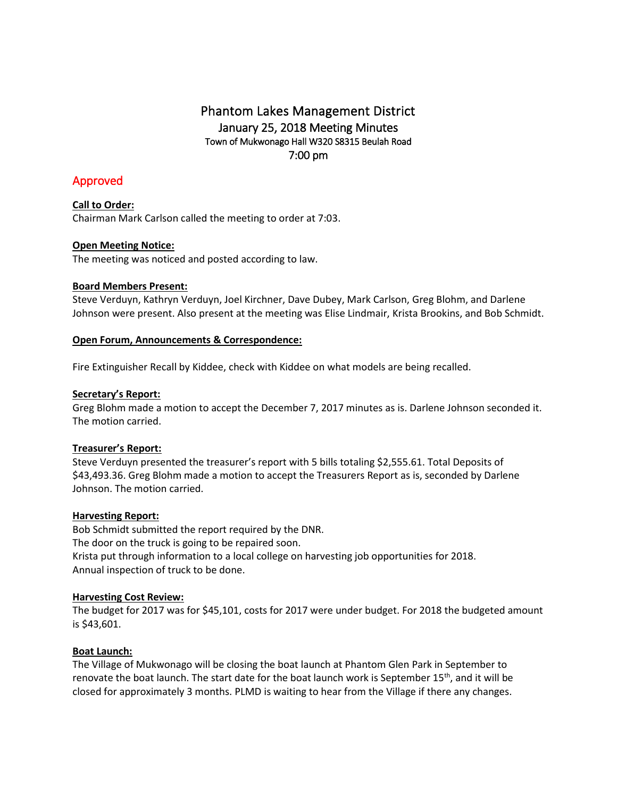## Phantom Lakes Management District January 25, 2018 Meeting Minutes Town of Mukwonago Hall W320 S8315 Beulah Road 7:00 pm

# Approved

**Call to Order:** Chairman Mark Carlson called the meeting to order at 7:03.

## **Open Meeting Notice:**

The meeting was noticed and posted according to law.

## **Board Members Present:**

Steve Verduyn, Kathryn Verduyn, Joel Kirchner, Dave Dubey, Mark Carlson, Greg Blohm, and Darlene Johnson were present. Also present at the meeting was Elise Lindmair, Krista Brookins, and Bob Schmidt.

#### **Open Forum, Announcements & Correspondence:**

Fire Extinguisher Recall by Kiddee, check with Kiddee on what models are being recalled.

### **Secretary's Report:**

Greg Blohm made a motion to accept the December 7, 2017 minutes as is. Darlene Johnson seconded it. The motion carried.

## **Treasurer's Report:**

Steve Verduyn presented the treasurer's report with 5 bills totaling \$2,555.61. Total Deposits of \$43,493.36. Greg Blohm made a motion to accept the Treasurers Report as is, seconded by Darlene Johnson. The motion carried.

## **Harvesting Report:**

Bob Schmidt submitted the report required by the DNR. The door on the truck is going to be repaired soon. Krista put through information to a local college on harvesting job opportunities for 2018. Annual inspection of truck to be done.

## **Harvesting Cost Review:**

The budget for 2017 was for \$45,101, costs for 2017 were under budget. For 2018 the budgeted amount is \$43,601.

#### **Boat Launch:**

The Village of Mukwonago will be closing the boat launch at Phantom Glen Park in September to renovate the boat launch. The start date for the boat launch work is September 15<sup>th</sup>, and it will be closed for approximately 3 months. PLMD is waiting to hear from the Village if there any changes.